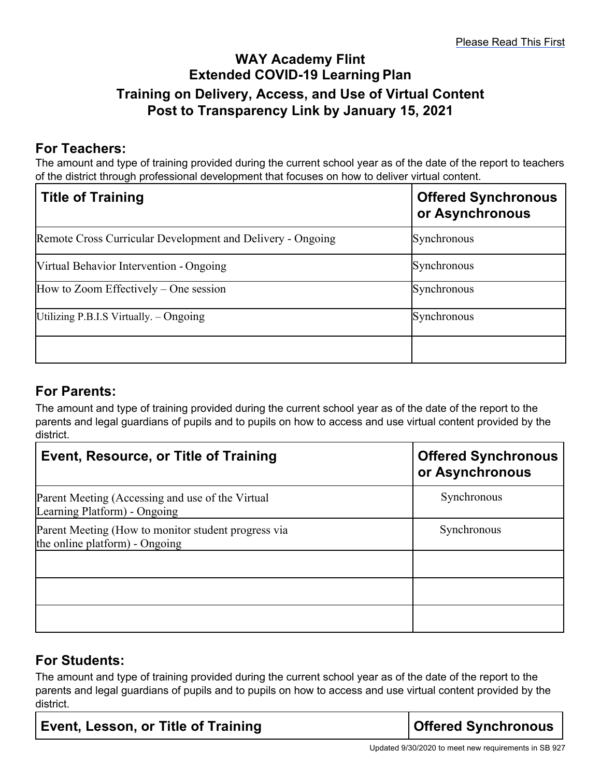## **WAY Academy Flint Extended COVID-19 Learning Plan Training on Delivery, Access, and Use of Virtual Content Post to Transparency Link by January 15, 2021**

## **For Teachers:**

The amount and type of training provided during the current school year as of the date of the report to teachers of the district through professional development that focuses on how to deliver virtual content.

| <b>Title of Training</b>                                   | <b>Offered Synchronous</b><br>or Asynchronous |
|------------------------------------------------------------|-----------------------------------------------|
| Remote Cross Curricular Development and Delivery - Ongoing | Synchronous                                   |
| Virtual Behavior Intervention - Ongoing                    | Synchronous                                   |
| How to Zoom Effectively – One session                      | Synchronous                                   |
| Utilizing P.B.I.S Virtually. $-$ Ongoing                   | Synchronous                                   |
|                                                            |                                               |

## **For Parents:**

The amount and type of training provided during the current school year as of the date of the report to the parents and legal guardians of pupils and to pupils on how to access and use virtual content provided by the district.

| Event, Resource, or Title of Training                                                 | <b>Offered Synchronous</b><br>or Asynchronous |
|---------------------------------------------------------------------------------------|-----------------------------------------------|
| Parent Meeting (Accessing and use of the Virtual<br>Learning Platform) - Ongoing      | Synchronous                                   |
| Parent Meeting (How to monitor student progress via<br>the online platform) - Ongoing | Synchronous                                   |
|                                                                                       |                                               |
|                                                                                       |                                               |

## **For Students:**

The amount and type of training provided during the current school year as of the date of the report to the parents and legal guardians of pupils and to pupils on how to access and use virtual content provided by the district.

**Offered Synchronous**